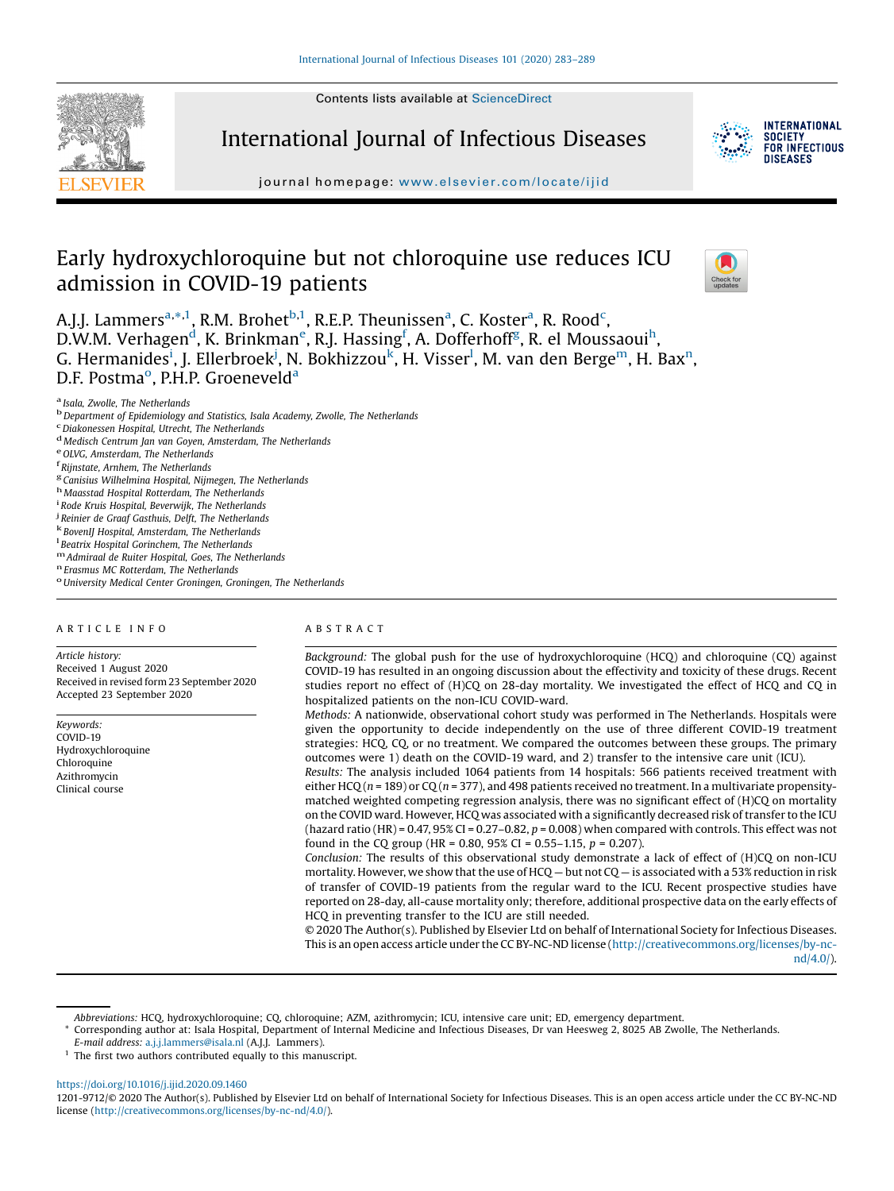Contents lists available at [ScienceDirect](http://www.sciencedirect.com/science/journal/12019712)



International Journal of Infectious Diseases



**INTERNATIONAL SOCIETY** FOR INFECTIOUS DISFASES

journal homepage: <www.elsevier.com/locate/ijid>

# Early hydroxychloroquine but not chloroquine use reduces ICU admission in COVID-19 patients



A.J.J. Lammers<sup>a,\*,1</sup>, R.M. Brohet<sup>b,1</sup>, R.E.P. Theunissen<sup>a</sup>, C. Koster<sup>a</sup>, R. Rood<sup>c</sup>, D.W.M. Verhagen<sup>d</sup>, K. Brinkman<sup>e</sup>, R.J. Hassing<sup>f</sup>, A. Dofferhoff<sup>g</sup>, R. el Moussaoui<sup>h</sup>, G. Hermanides<sup>i</sup>, J. Ellerbroek<sup>j</sup>, N. Bokhizzou<sup>k</sup>, H. Visser<sup>l</sup>, M. van den Berge<sup>m</sup>, H. Bax<sup>n</sup>, D.F. Postma<sup>o</sup>, P.H.P. Groeneveld<sup>a</sup>

- 
- <sup>d</sup> Medisch Centrum Jan van Goyen, Amsterdam, The Netherlands e<sup>OLVG</sup>, Amsterdam, The Netherlands f<br><sup>F</sup> Rijnstate, Arnhem, The Netherlands f

- ${}^{\mathbf{g}}$  Canisius Wilhelmina Hospital, Nijmegen, The Netherlands h<br> Maasstad Hospital Rotterdam, The Netherlands in
- 
- 
- <sup>i</sup> Rode Kruis Hospital, Beverwijk, The Netherlands *i* Reinier de Graaf Gasthuis, Delft, The Netherlands
- 
- <sup>k</sup> BovenIJ Hospital, Amsterdam, The Netherlands<br><sup>1</sup> Beatrix Hospital Gorinchem, The Netherlands
- 

 $\frac{m}{n}$  Admiraal de Ruiter Hospital, Goes, The Netherlands  $\frac{n}{n}$  Erasmus MC Rotterdam, The Netherlands oUniversity Medical Center Groningen, Groningen, The Netherlands

## A R T I C L E I N F O

Article history: Received 1 August 2020 Received in revised form 23 September 2020 Accepted 23 September 2020

Keywords: COVID-19 Hydroxychloroquine Chloroquine Azithromycin Clinical course

#### A B S T R A C T

Background: The global push for the use of hydroxychloroquine (HCQ) and chloroquine (CQ) against COVID-19 has resulted in an ongoing discussion about the effectivity and toxicity of these drugs. Recent studies report no effect of (H)CQ on 28-day mortality. We investigated the effect of HCQ and CQ in hospitalized patients on the non-ICU COVID-ward.

Methods: A nationwide, observational cohort study was performed in The Netherlands. Hospitals were given the opportunity to decide independently on the use of three different COVID-19 treatment strategies: HCQ, CQ, or no treatment. We compared the outcomes between these groups. The primary outcomes were 1) death on the COVID-19 ward, and 2) transfer to the intensive care unit (ICU).

Results: The analysis included 1064 patients from 14 hospitals: 566 patients received treatment with either HCQ ( $n = 189$ ) or CQ ( $n = 377$ ), and 498 patients received no treatment. In a multivariate propensitymatched weighted competing regression analysis, there was no significant effect of (H)CQ on mortality on the COVID ward. However, HCQ was associated with a significantly decreased risk of transfer to the ICU (hazard ratio (HR) = 0.47, 95% CI = 0.27–0.82,  $p$  = 0.008) when compared with controls. This effect was not found in the CQ group (HR = 0.80, 95% CI = 0.55–1.15,  $p = 0.207$ ).

Conclusion: The results of this observational study demonstrate a lack of effect of (H)CQ on non-ICU mortality. However, we show that the use of HCQ – but not CQ – is associated with a 53% reduction in risk of transfer of COVID-19 patients from the regular ward to the ICU. Recent prospective studies have reported on 28-day, all-cause mortality only; therefore, additional prospective data on the early effects of HCQ in preventing transfer to the ICU are still needed.

© 2020 The Author(s). Published by Elsevier Ltd on behalf of International Society for Infectious Diseases. This is an open access article under the CC BY-NC-ND license [\(http://creativecommons.org/licenses/by-nc](http://creativecommons.org/licenses/by-nc-nd/4.0/)[nd/4.0/](http://creativecommons.org/licenses/by-nc-nd/4.0/)).

<https://doi.org/10.1016/j.ijid.2020.09.1460>

<sup>&</sup>lt;sup>a</sup> Isala, Zwolle, The Netherlands<br><sup>b</sup> Department of Epidemiology and Statistics, Isala Academy, Zwolle, The Netherlands c<br><sup>c</sup> Diakonessen Hospital, Utrecht, The Netherlands

Abbreviations: HCQ, hydroxychloroquine; CQ, chloroquine; AZM, azithromycin; ICU, intensive care unit; ED, emergency department.

<sup>\*</sup> Corresponding author at: Isala Hospital, Department of Internal Medicine and Infectious Diseases, Dr van Heesweg 2, 8025 AB Zwolle, The Netherlands.

E-mail address: [a.j.j.lammers@isala.nl](mailto:a.j.j.lammers@isala.nl) (A.J.J. Lammers).

 $1$  The first two authors contributed equally to this manuscript.

<sup>1201-9712/©</sup> 2020 The Author(s). Published by Elsevier Ltd on behalf of International Society for Infectious Diseases. This is an open access article under the CC BY-NC-ND license [\(http://creativecommons.org/licenses/by-nc-nd/4.0/\)](http://creativecommons.org/licenses/by-nc-nd/4.0/).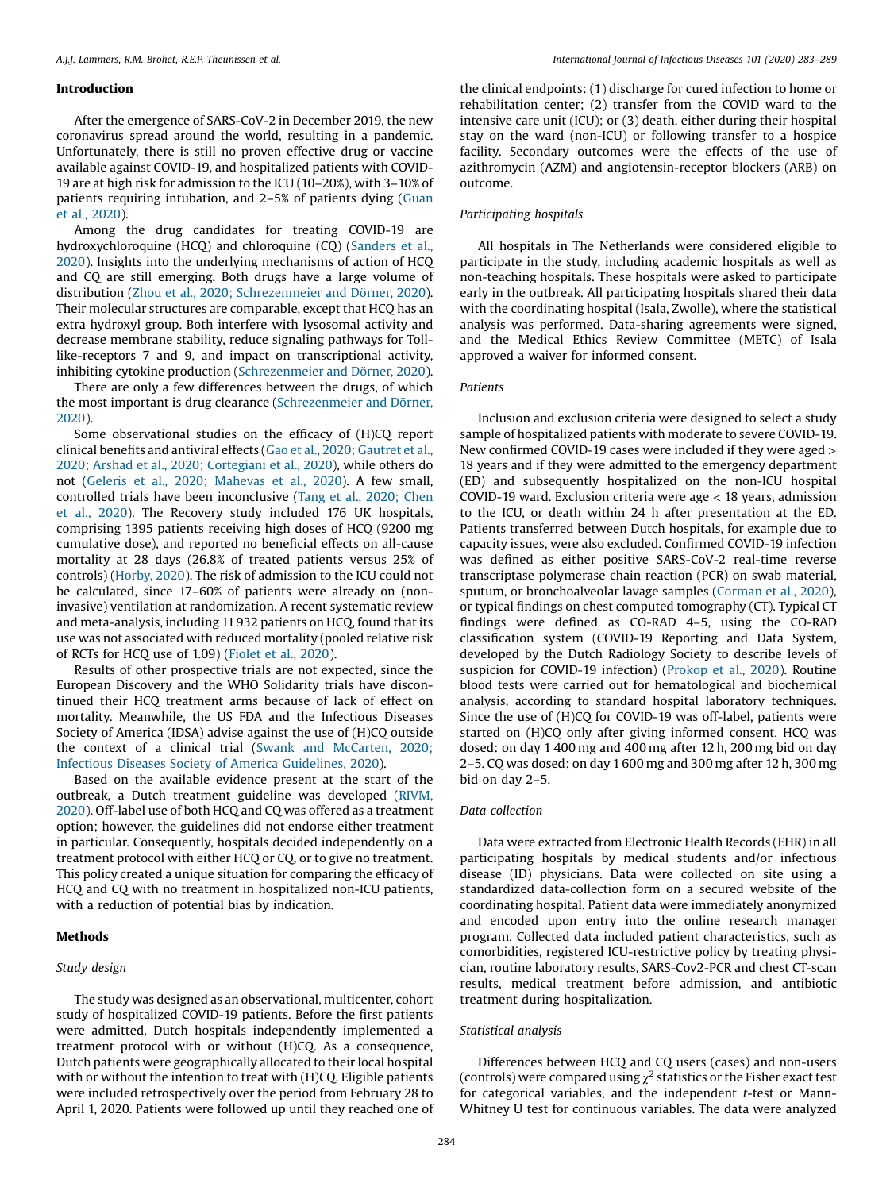#### Introduction

After the emergence of SARS-CoV-2 in December 2019, the new coronavirus spread around the world, resulting in a pandemic. Unfortunately, there is still no proven effective drug or vaccine available against COVID-19, and hospitalized patients with COVID-19 are at high risk for admission to the ICU (10–20%), with 3–10% of patients requiring intubation, and 2–5% of patients dying ([Guan](#page-6-0) et al., [2020](#page-6-0)).

Among the drug candidates for treating COVID-19 are hydroxychloroquine (HCQ) and chloroquine (CQ) ([Sanders](#page-6-0) et al., [2020](#page-6-0)). Insights into the underlying mechanisms of action of HCQ and CQ are still emerging. Both drugs have a large volume of distribution (Zhou et al., 2020; [Schrezenmeier](#page-6-0) and Dörner, 2020). Their molecular structures are comparable, except that HCQ has an extra hydroxyl group. Both interfere with lysosomal activity and decrease membrane stability, reduce signaling pathways for Tolllike-receptors 7 and 9, and impact on transcriptional activity, inhibiting cytokine production ([Schrezenmeier](#page-6-0) and Dörner, 2020).

There are only a few differences between the drugs, of which the most important is drug clearance ([Schrezenmeier](#page-6-0) and Dörner, [2020](#page-6-0)).

Some observational studies on the efficacy of (H)CQ report clinical benefits and antiviral effects (Gao et al., 2020; [Gautret](#page-6-0) et al., 2020; Arshad et al., 2020; [Cortegiani](#page-6-0) et al., 2020), while others do not (Geleris et al., 2020; [Mahevas](#page-6-0) et al., 2020). A few small, controlled trials have been inconclusive (Tang et al., [2020;](#page-6-0) Chen et al., [2020\)](#page-6-0). The Recovery study included 176 UK hospitals, comprising 1395 patients receiving high doses of HCQ (9200 mg cumulative dose), and reported no beneficial effects on all-cause mortality at 28 days (26.8% of treated patients versus 25% of controls) ([Horby,](#page-6-0) 2020). The risk of admission to the ICU could not be calculated, since 17–60% of patients were already on (noninvasive) ventilation at randomization. A recent systematic review and meta-analysis, including 11932 patients on HCQ, found that its use was not associated with reduced mortality (pooled relative risk of RCTs for HCQ use of 1.09) ([Fiolet](#page-5-0) et al., 2020).

Results of other prospective trials are not expected, since the European Discovery and the WHO Solidarity trials have discontinued their HCQ treatment arms because of lack of effect on mortality. Meanwhile, the US FDA and the Infectious Diseases Society of America (IDSA) advise against the use of (H)CQ outside the context of a clinical trial (Swank and [McCarten,](#page-6-0) 2020; Infectious Diseases Society of America [Guidelines,](#page-6-0) 2020).

Based on the available evidence present at the start of the outbreak, a Dutch treatment guideline was developed ([RIVM,](#page-6-0) [2020](#page-6-0)). Off-label use of both HCQ and CQ was offered as a treatment option; however, the guidelines did not endorse either treatment in particular. Consequently, hospitals decided independently on a treatment protocol with either HCQ or CQ, or to give no treatment. This policy created a unique situation for comparing the efficacy of HCQ and CQ with no treatment in hospitalized non-ICU patients, with a reduction of potential bias by indication.

# Methods

# Study design

The study was designed as an observational, multicenter, cohort study of hospitalized COVID-19 patients. Before the first patients were admitted, Dutch hospitals independently implemented a treatment protocol with or without (H)CQ. As a consequence, Dutch patients were geographically allocated to their local hospital with or without the intention to treat with (H)CQ. Eligible patients were included retrospectively over the period from February 28 to April 1, 2020. Patients were followed up until they reached one of the clinical endpoints: (1) discharge for cured infection to home or rehabilitation center; (2) transfer from the COVID ward to the intensive care unit (ICU); or (3) death, either during their hospital stay on the ward (non-ICU) or following transfer to a hospice facility. Secondary outcomes were the effects of the use of azithromycin (AZM) and angiotensin-receptor blockers (ARB) on outcome.

## Participating hospitals

All hospitals in The Netherlands were considered eligible to participate in the study, including academic hospitals as well as non-teaching hospitals. These hospitals were asked to participate early in the outbreak. All participating hospitals shared their data with the coordinating hospital (Isala, Zwolle), where the statistical analysis was performed. Data-sharing agreements were signed, and the Medical Ethics Review Committee (METC) of Isala approved a waiver for informed consent.

# Patients

Inclusion and exclusion criteria were designed to select a study sample of hospitalized patients with moderate to severe COVID-19. New confirmed COVID-19 cases were included if they were aged > 18 years and if they were admitted to the emergency department (ED) and subsequently hospitalized on the non-ICU hospital COVID-19 ward. Exclusion criteria were age < 18 years, admission to the ICU, or death within 24 h after presentation at the ED. Patients transferred between Dutch hospitals, for example due to capacity issues, were also excluded. Confirmed COVID-19 infection was defined as either positive SARS-CoV-2 real-time reverse transcriptase polymerase chain reaction (PCR) on swab material, sputum, or bronchoalveolar lavage samples ([Corman](#page-5-0) et al., 2020), or typical findings on chest computed tomography (CT). Typical CT findings were defined as CO-RAD 4–5, using the CO-RAD classification system (COVID-19 Reporting and Data System, developed by the Dutch Radiology Society to describe levels of suspicion for COVID-19 infection) ([Prokop](#page-6-0) et al., 2020). Routine blood tests were carried out for hematological and biochemical analysis, according to standard hospital laboratory techniques. Since the use of (H)CQ for COVID-19 was off-label, patients were started on (H)CQ only after giving informed consent. HCQ was dosed: on day 1 400 mg and 400 mg after 12 h, 200 mg bid on day 2–5. CQ was dosed: on day 1 600 mg and 300 mg after 12 h, 300 mg bid on day 2–5.

# Data collection

Data were extracted from Electronic Health Records (EHR) in all participating hospitals by medical students and/or infectious disease (ID) physicians. Data were collected on site using a standardized data-collection form on a secured website of the coordinating hospital. Patient data were immediately anonymized and encoded upon entry into the online research manager program. Collected data included patient characteristics, such as comorbidities, registered ICU-restrictive policy by treating physician, routine laboratory results, SARS-Cov2-PCR and chest CT-scan results, medical treatment before admission, and antibiotic treatment during hospitalization.

#### Statistical analysis

Differences between HCQ and CQ users (cases) and non-users (controls) were compared using  $\chi^2$  statistics or the Fisher exact test for categorical variables, and the independent  $t$ -test or Mann-Whitney U test for continuous variables. The data were analyzed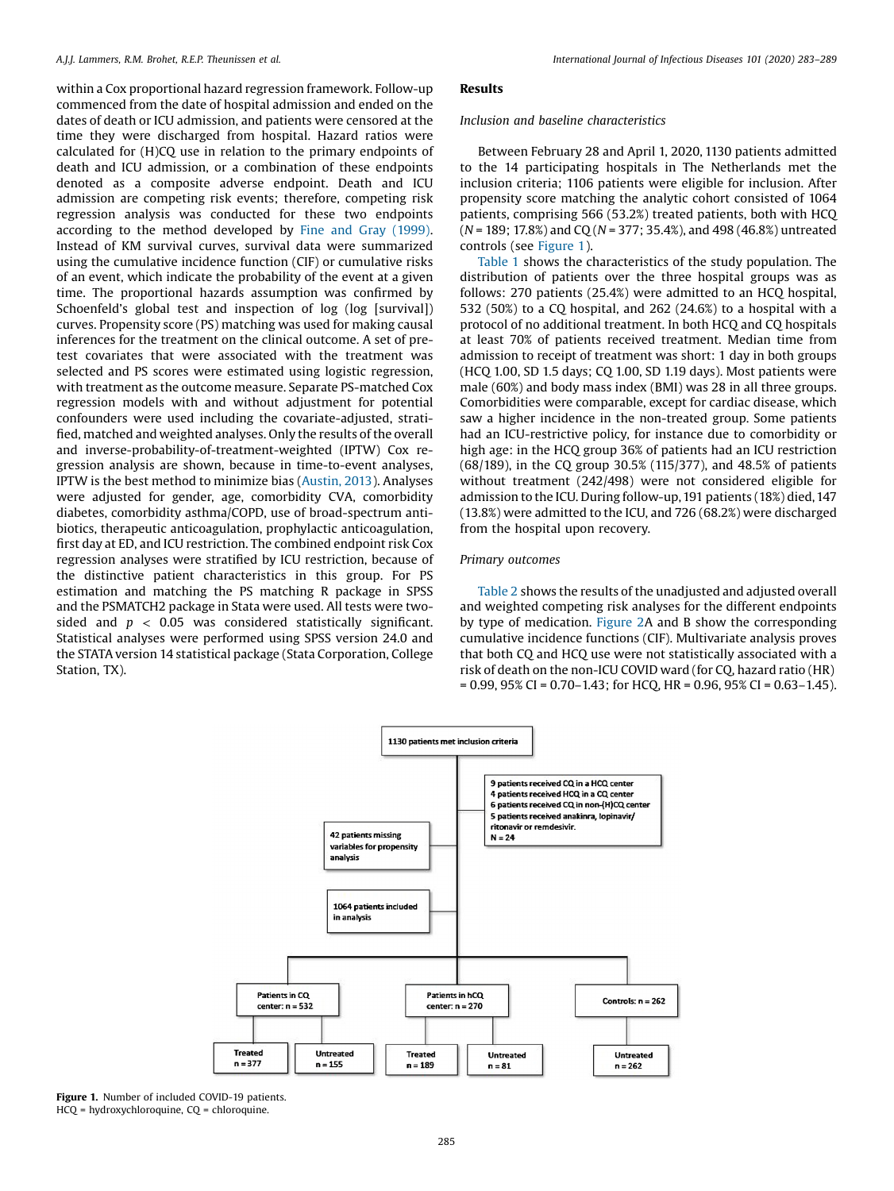within a Cox proportional hazard regression framework. Follow-up commenced from the date of hospital admission and ended on the dates of death or ICU admission, and patients were censored at the time they were discharged from hospital. Hazard ratios were calculated for (H)CQ use in relation to the primary endpoints of death and ICU admission, or a combination of these endpoints denoted as a composite adverse endpoint. Death and ICU admission are competing risk events; therefore, competing risk regression analysis was conducted for these two endpoints according to the method developed by Fine and Gray [\(1999\)](#page-5-0). Instead of KM survival curves, survival data were summarized using the cumulative incidence function (CIF) or cumulative risks of an event, which indicate the probability of the event at a given time. The proportional hazards assumption was confirmed by Schoenfeld's global test and inspection of log (log [survival]) curves. Propensity score (PS) matching was used for making causal inferences for the treatment on the clinical outcome. A set of pretest covariates that were associated with the treatment was selected and PS scores were estimated using logistic regression, with treatment as the outcome measure. Separate PS-matched Cox regression models with and without adjustment for potential confounders were used including the covariate-adjusted, stratified, matched and weighted analyses. Only the results of the overall and inverse-probability-of-treatment-weighted (IPTW) Cox regression analysis are shown, because in time-to-event analyses, IPTW is the best method to minimize bias [\(Austin,](#page-5-0) 2013). Analyses were adjusted for gender, age, comorbidity CVA, comorbidity diabetes, comorbidity asthma/COPD, use of broad-spectrum antibiotics, therapeutic anticoagulation, prophylactic anticoagulation, first day at ED, and ICU restriction. The combined endpoint risk Cox regression analyses were stratified by ICU restriction, because of the distinctive patient characteristics in this group. For PS estimation and matching the PS matching R package in SPSS and the PSMATCH2 package in Stata were used. All tests were twosided and  $p < 0.05$  was considered statistically significant. Statistical analyses were performed using SPSS version 24.0 and the STATA version 14 statistical package (Stata Corporation, College Station, TX).

## Results

#### Inclusion and baseline characteristics

Between February 28 and April 1, 2020, 1130 patients admitted to the 14 participating hospitals in The Netherlands met the inclusion criteria; 1106 patients were eligible for inclusion. After propensity score matching the analytic cohort consisted of 1064 patients, comprising 566 (53.2%) treated patients, both with HCQ  $(N = 189; 17.8%)$  and CQ  $(N = 377; 35.4%)$ , and 498 (46.8%) untreated controls (see Figure 1).

[Table](#page-3-0) 1 shows the characteristics of the study population. The distribution of patients over the three hospital groups was as follows: 270 patients (25.4%) were admitted to an HCQ hospital, 532 (50%) to a CQ hospital, and 262 (24.6%) to a hospital with a protocol of no additional treatment. In both HCQ and CQ hospitals at least 70% of patients received treatment. Median time from admission to receipt of treatment was short: 1 day in both groups (HCQ 1.00, SD 1.5 days; CQ 1.00, SD 1.19 days). Most patients were male (60%) and body mass index (BMI) was 28 in all three groups. Comorbidities were comparable, except for cardiac disease, which saw a higher incidence in the non-treated group. Some patients had an ICU-restrictive policy, for instance due to comorbidity or high age: in the HCQ group 36% of patients had an ICU restriction (68/189), in the CQ group 30.5% (115/377), and 48.5% of patients without treatment (242/498) were not considered eligible for admission to the ICU. During follow-up, 191 patients (18%) died, 147 (13.8%) were admitted to the ICU, and 726 (68.2%) were discharged from the hospital upon recovery.

## Primary outcomes

[Table](#page-4-0) 2 shows the results of the unadjusted and adjusted overall and weighted competing risk analyses for the different endpoints by type of medication. [Figure](#page-4-0) 2A and B show the corresponding cumulative incidence functions (CIF). Multivariate analysis proves that both CQ and HCQ use were not statistically associated with a risk of death on the non-ICU COVID ward (for CQ, hazard ratio (HR)  $= 0.99, 95\%$  CI = 0.70–1.43; for HCQ, HR = 0.96, 95% CI = 0.63–1.45).



Figure 1. Number of included COVID-19 patients. HCQ = hydroxychloroquine, CQ = chloroquine.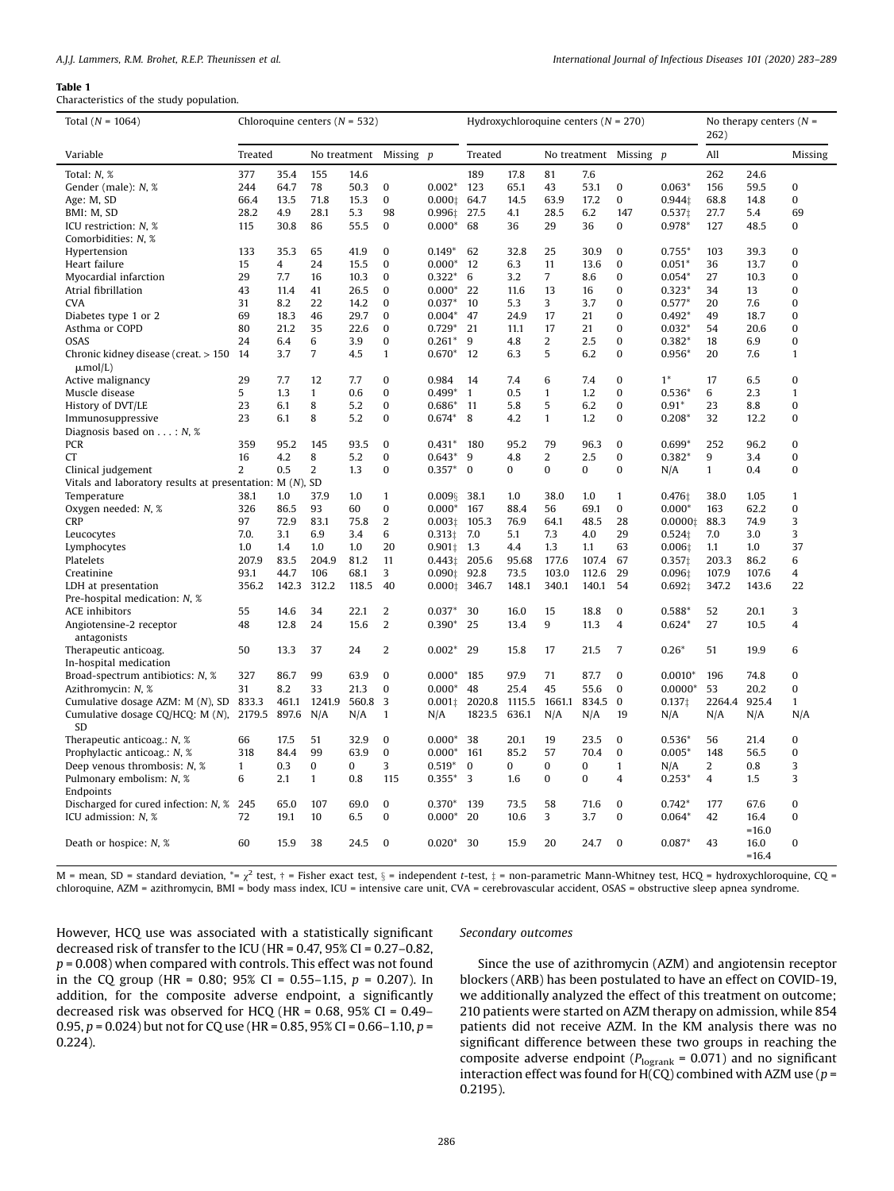#### <span id="page-3-0"></span>Table 1

Characteristics of the study population.

| Total $(N = 1064)$                                         |                |       | Chloroquine centers ( $N = 532$ ) |          |                  |               |                |       | Hydroxychloroquine centers ( $N = 270$ ) |             |                | No therapy centers $(N =$<br>262) |              |         |                  |
|------------------------------------------------------------|----------------|-------|-----------------------------------|----------|------------------|---------------|----------------|-------|------------------------------------------|-------------|----------------|-----------------------------------|--------------|---------|------------------|
| Variable                                                   | Treated        |       | No treatment Missing p            |          |                  |               | Treated        |       | No treatment Missing p                   |             |                |                                   | All          |         | Missing          |
| Total: N. %                                                | 377            | 35.4  | 155                               | 14.6     |                  |               | 189            | 17.8  | 81                                       | 7.6         |                |                                   | 262          | 24.6    |                  |
| Gender (male): N, %                                        | 244            | 64.7  | 78                                | 50.3     | $\boldsymbol{0}$ | $0.002*$      | 123            | 65.1  | 43                                       | 53.1        | $\bf{0}$       | $0.063*$                          | 156          | 59.5    | $\mathbf{0}$     |
| Age: M, SD                                                 | 66.4           | 13.5  | 71.8                              | 15.3     | $\mathbf{0}$     | 0.0001        | 64.7           | 14.5  | 63.9                                     | 17.2        | 0              | 0.944t                            | 68.8         | 14.8    | $\mathbf 0$      |
| BMI: M, SD                                                 | 28.2           | 4.9   | 28.1                              | 5.3      | 98               | 0.996:        | 27.5           | 4.1   | 28.5                                     | 6.2         | 147            | 0.537‡                            | 27.7         | 5.4     | 69               |
| ICU restriction: N, %                                      | 115            | 30.8  | 86                                | 55.5     | $\bf{0}$         | $0.000*$      | 68             | 36    | 29                                       | 36          | 0              | 0.978*                            | 127          | 48.5    | $\mathbf{0}$     |
| Comorbidities: N, %                                        |                |       |                                   |          |                  |               |                |       |                                          |             |                |                                   |              |         |                  |
| Hypertension                                               | 133            | 35.3  | 65                                | 41.9     | $\Omega$         | $0.149*$      | 62             | 32.8  | 25                                       | 30.9        | $\Omega$       | $0.755*$                          | 103          | 39.3    | $\bf{0}$         |
| Heart failure                                              | 15             | 4     | 24                                | 15.5     | $\bf{0}$         | $0.000*$      | 12             | 6.3   | 11                                       | 13.6        | $\bf{0}$       | $0.051*$                          | 36           | 13.7    | $\mathbf{0}$     |
| Myocardial infarction                                      | 29             | 7.7   | 16                                | 10.3     | $\bf{0}$         | $0.322*$      | 6              | 3.2   | $\overline{7}$                           | 8.6         | 0              | $0.054*$                          | 27           | 10.3    | $\mathbf{0}$     |
| Atrial fibrillation                                        | 43             | 11.4  | 41                                | 26.5     | $\mathbf{0}$     | $0.000*$      | 22             | 11.6  | 13                                       | 16          | 0              | $0.323*$                          | 34           | 13      | $\mathbf{0}$     |
| <b>CVA</b>                                                 | 31             | 8.2   | 22                                | 14.2     | $\boldsymbol{0}$ | $0.037*$      | 10             | 5.3   | 3                                        | 3.7         | 0              | $0.577*$                          | 20           | 7.6     | $\bf{0}$         |
| Diabetes type 1 or 2                                       | 69             | 18.3  | 46                                | 29.7     | $\mathbf{0}$     | $0.004*$      | 47             | 24.9  | 17                                       | 21          | 0              | $0.492*$                          | 49           | 18.7    | $\mathbf{0}$     |
| Asthma or COPD                                             | 80             | 21.2  | 35                                | 22.6     | $\mathbf{0}$     | $0.729*$      | 21             | 11.1  | 17                                       | 21          | 0              | $0.032*$                          | 54           | 20.6    | $\mathbf 0$      |
| <b>OSAS</b>                                                | 24             | 6.4   | 6                                 | 3.9      | $\mathbf{0}$     | $0.261*$      | 9              | 4.8   | $\overline{2}$                           | 2.5         | 0              | $0.382*$                          | 18           | 6.9     | $\mathbf 0$      |
| Chronic kidney disease (creat, $> 150$ 14                  |                | 3.7   | 7                                 | 4.5      | $\mathbf{1}$     | $0.670*$      | 12             | 6.3   | 5                                        | 6.2         | 0              | $0.956*$                          | 20           | 7.6     | $\mathbf{1}$     |
| $\mu$ mol/L)                                               |                |       |                                   |          |                  |               |                |       |                                          |             |                |                                   |              |         |                  |
| Active malignancy                                          | 29             | 7.7   | 12                                | 7.7      | $\bf{0}$         | 0.984         | 14             | 7.4   | 6                                        | 7.4         | $\Omega$       | $1^*$                             | 17           | 6.5     | $\mathbf{0}$     |
| Muscle disease                                             | 5              | 1.3   | $\mathbf{1}$                      | 0.6      | $\mathbf{0}$     | $0.499*$      | $\overline{1}$ | 0.5   | $\mathbf{1}$                             | 1.2         | 0              | $0.536*$                          | 6            | 2.3     | $\mathbf{1}$     |
| History of DVT/LE                                          | 23             | 6.1   | 8                                 | 5.2      | $\boldsymbol{0}$ | $0.686*$      | 11             | 5.8   | 5                                        | 6.2         | 0              | $0.91*$                           | 23           | 8.8     | $\boldsymbol{0}$ |
| Immunosuppressive                                          | 23             | 6.1   | 8                                 | 5.2      | $\bf{0}$         | $0.674*$      | 8              | 4.2   | $\mathbf{1}$                             | 1.2         | 0              | $0.208*$                          | 32           | 12.2    | $\bf{0}$         |
| Diagnosis based on $\dots : N$ , %                         |                |       |                                   |          |                  |               |                |       |                                          |             |                |                                   |              |         |                  |
| <b>PCR</b>                                                 | 359            | 95.2  | 145                               | 93.5     | $\bf{0}$         | $0.431*$      | 180            | 95.2  | 79                                       | 96.3        | $\mathbf{0}$   | $0.699*$                          | 252          | 96.2    | $\mathbf{0}$     |
| <b>CT</b>                                                  | 16             | 4.2   | 8                                 | 5.2      | $\bf{0}$         | $0.643*$      | 9              | 4.8   | 2                                        | 2.5         | 0              | $0.382*$                          | 9            | 3.4     | $\bf{0}$         |
| Clinical judgement                                         | $\overline{2}$ | 0.5   | $\overline{2}$                    | 1.3      | $\bf{0}$         | $0.357*$      | $\mathbf{0}$   | 0     | $\bf{0}$                                 | 0           | 0              | N/A                               | $\mathbf{1}$ | 0.4     | $\bf{0}$         |
| Vitals and laboratory results at presentation: $M(N)$ , SD |                |       |                                   |          |                  |               |                |       |                                          |             |                |                                   |              |         |                  |
| Temperature                                                | 38.1           | 1.0   | 37.9                              | 1.0      | $\mathbf{1}$     | 0.0098        | 38.1           | 1.0   | 38.0                                     | 1.0         | 1              | 0.476t                            | 38.0         | 1.05    | $\mathbf{1}$     |
| Oxygen needed: N, %                                        | 326            | 86.5  | 93                                | 60       | $\boldsymbol{0}$ | $0.000*$      | 167            | 88.4  | 56                                       | 69.1        | 0              | $0.000*$                          | 163          | 62.2    | $\boldsymbol{0}$ |
| <b>CRP</b>                                                 | 97             | 72.9  | 83.1                              | 75.8     | $\overline{2}$   | 0.0031        | 105.3          | 76.9  | 64.1                                     | 48.5        | 28             | 0.00001                           | 88.3         | 74.9    | 3                |
| Leucocytes                                                 | 7.0.           | 3.1   | 6.9                               | 3.4      | 6                | 0.3131        | 7.0            | 5.1   | 7.3                                      | 4.0         | 29             | 0.524t                            | 7.0          | 3.0     | 3                |
| Lymphocytes                                                | 1.0            | 1.4   | 1.0                               | 1.0      | 20               | $0.901$ $1.3$ |                | 4.4   | 1.3                                      | 1,1         | 63             | 0.006                             | 1.1          | 1.0     | 37               |
| Platelets                                                  | 207.9          | 83.5  | 204.9                             | 81.2     | 11               | 0.4431        | 205.6          | 95.68 | 177.6                                    | 107.4       | 67             | 0.3571                            | 203.3        | 86.2    | 6                |
| Creatinine                                                 | 93.1           | 44.7  | 106                               | 68.1     | 3                | 0.0901        | 92.8           | 73.5  | 103.0                                    | 112.6       | 29             | 0.096‡                            | 107.9        | 107.6   | $\overline{4}$   |
| LDH at presentation                                        | 356.2          | 142.3 | 312.2                             | 118.5    | 40               | 0.0001        | 346.7          | 148.1 | 340.1                                    | 140.1       | 54             | 0.692‡                            | 347.2        | 143.6   | 22               |
| Pre-hospital medication: N, %                              |                |       |                                   |          |                  |               |                |       |                                          |             |                |                                   |              |         |                  |
| <b>ACE</b> inhibitors                                      | 55             | 14.6  | 34                                | 22.1     | $\overline{2}$   | $0.037*$      | 30             | 16.0  | 15                                       | 18.8        | 0              | 0.588*                            | 52           | 20.1    | 3                |
| Angiotensine-2 receptor                                    | 48             | 12.8  | 24                                | 15.6     | 2                | $0.390*$      | 25             | 13.4  | 9                                        | 11.3        | $\overline{4}$ | $0.624*$                          | 27           | 10.5    | $\overline{4}$   |
| antagonists                                                |                |       |                                   |          |                  |               |                |       |                                          |             |                |                                   |              |         |                  |
| Therapeutic anticoag.                                      | 50             | 13.3  | 37                                | 24       | $\overline{2}$   | $0.002*$      | 29             | 15.8  | 17                                       | 21.5        | $\overline{7}$ | $0.26*$                           | 51           | 19.9    | 6                |
| In-hospital medication                                     |                |       |                                   |          |                  |               |                |       |                                          |             |                |                                   |              |         |                  |
| Broad-spectrum antibiotics: N, %                           | 327            | 86.7  | 99                                | 63.9     | $\Omega$         | $0.000*$      | 185            | 97.9  | 71                                       | 87.7        | $\Omega$       | $0.0010*$                         | 196          | 74.8    | $\Omega$         |
| Azithromycin: N, %                                         | 31             | 8.2   | 33                                | 21.3     | $\boldsymbol{0}$ | $0.000*$      | 48             | 25.4  | 45                                       | 55.6        | $\mathbf{0}$   | $0.0000*$                         | 53           | 20.2    | $\boldsymbol{0}$ |
| Cumulative dosage AZM: M (N), SD 833.3                     |                | 461.1 | 1241.9                            | 560.8 3  |                  | 0.0011        | 2020.8 1115.5  |       | 1661.1                                   | 834.5       | $\bf{0}$       | 0.1371                            | 2264.4       | 925.4   | $\mathbf{1}$     |
| Cumulative dosage CQ/HCQ: M (N),                           | 2179.5         | 897.6 | N/A                               | N/A      | $\mathbf{1}$     | N/A           | 1823.5 636.1   |       | N/A                                      | N/A         | 19             | N/A                               | N/A          | N/A     | N/A              |
| <b>SD</b>                                                  |                |       |                                   |          |                  |               |                |       |                                          |             |                |                                   |              |         |                  |
| Therapeutic anticoag.: N, %                                | 66             | 17.5  | 51                                | 32.9     | $\mathbf 0$      | $0.000*$      | 38             | 20.1  | 19                                       | 23.5        | $\bf{0}$       | $0.536*$                          | 56           | 21.4    | $\boldsymbol{0}$ |
| Prophylactic anticoag.: N, %                               | 318            | 84.4  | 99                                | 63.9     | $\mathbf{0}$     | $0.000*$      | 161            | 85.2  | 57                                       | 70.4        | $\mathbf{0}$   | $0.005*$                          | 148          | 56.5    | $\mathbf 0$      |
| Deep venous thrombosis: N, %                               | $\mathbf{1}$   | 0.3   | $\bf{0}$                          | $\bf{0}$ | 3                | $0.519*$      | $\mathbf{0}$   | 0     | $\mathbf{0}$                             | $\mathbf 0$ | $\mathbf{1}$   | N/A                               | 2            | 0.8     | 3                |
| Pulmonary embolism: N, %                                   | 6              | 2.1   | $\mathbf{1}$                      | 0.8      | 115              | $0.355*$      | 3              | 1.6   | $\mathbf{0}$                             | 0           | 4              | $0.253*$                          | 4            | 1.5     | 3                |
| Endpoints                                                  |                |       |                                   |          |                  |               |                |       |                                          |             |                |                                   |              |         |                  |
| Discharged for cured infection: N, % 245                   |                | 65.0  | 107                               | 69.0     | $\bf{0}$         | $0.370*$      | 139            | 73.5  | 58                                       | 71.6        | $\mathbf{0}$   | $0.742*$                          | 177          | 67.6    | $\bf{0}$         |
| ICU admission: N, %                                        | 72             | 19.1  | 10                                | 6.5      | $\mathbf{0}$     | $0.000*$      | 20             | 10.6  | 3                                        | 3.7         | $\bf{0}$       | $0.064*$                          | 42           | 16.4    | $\bf{0}$         |
|                                                            |                |       |                                   |          |                  |               |                |       |                                          |             |                |                                   |              | $=16.0$ |                  |
| Death or hospice: N, %                                     | 60             | 15.9  | 38                                | 24.5     | $\bf{0}$         | $0.020*30$    |                | 15.9  | 20                                       | 24.7        | $\mathbf{0}$   | $0.087*$                          | 43           | 16.0    | $\bf{0}$         |
|                                                            |                |       |                                   |          |                  |               |                |       |                                          |             |                |                                   |              | $=16.4$ |                  |

M = mean, SD = standard deviation, \*=  $\chi^2$  test,  $\dagger$  = Fisher exact test,  $\S$  = independent t-test,  $\ddagger$  = non-parametric Mann-Whitney test, HCQ = hydroxychloroquine, CQ = chloroquine, AZM = azithromycin, BMI = body mass index, ICU = intensive care unit, CVA = cerebrovascular accident, OSAS = obstructive sleep apnea syndrome.

However, HCQ use was associated with a statistically significant decreased risk of transfer to the ICU (HR = 0.47, 95% CI = 0.27–0.82,  $p = 0.008$ ) when compared with controls. This effect was not found in the CQ group (HR = 0.80; 95% CI = 0.55–1.15,  $p = 0.207$ ). In addition, for the composite adverse endpoint, a significantly decreased risk was observed for HCQ (HR = 0.68, 95% CI = 0.49– 0.95,  $p = 0.024$ ) but not for CQ use (HR = 0.85, 95% CI = 0.66–1.10,  $p =$ 0.224).

### Secondary outcomes

Since the use of azithromycin (AZM) and angiotensin receptor blockers (ARB) has been postulated to have an effect on COVID-19, we additionally analyzed the effect of this treatment on outcome; 210 patients were started on AZM therapy on admission, while 854 patients did not receive AZM. In the KM analysis there was no significant difference between these two groups in reaching the composite adverse endpoint ( $P_{\text{logrank}}$  = 0.071) and no significant interaction effect was found for  $H(CQ)$  combined with AZM use ( $p =$ 0.2195).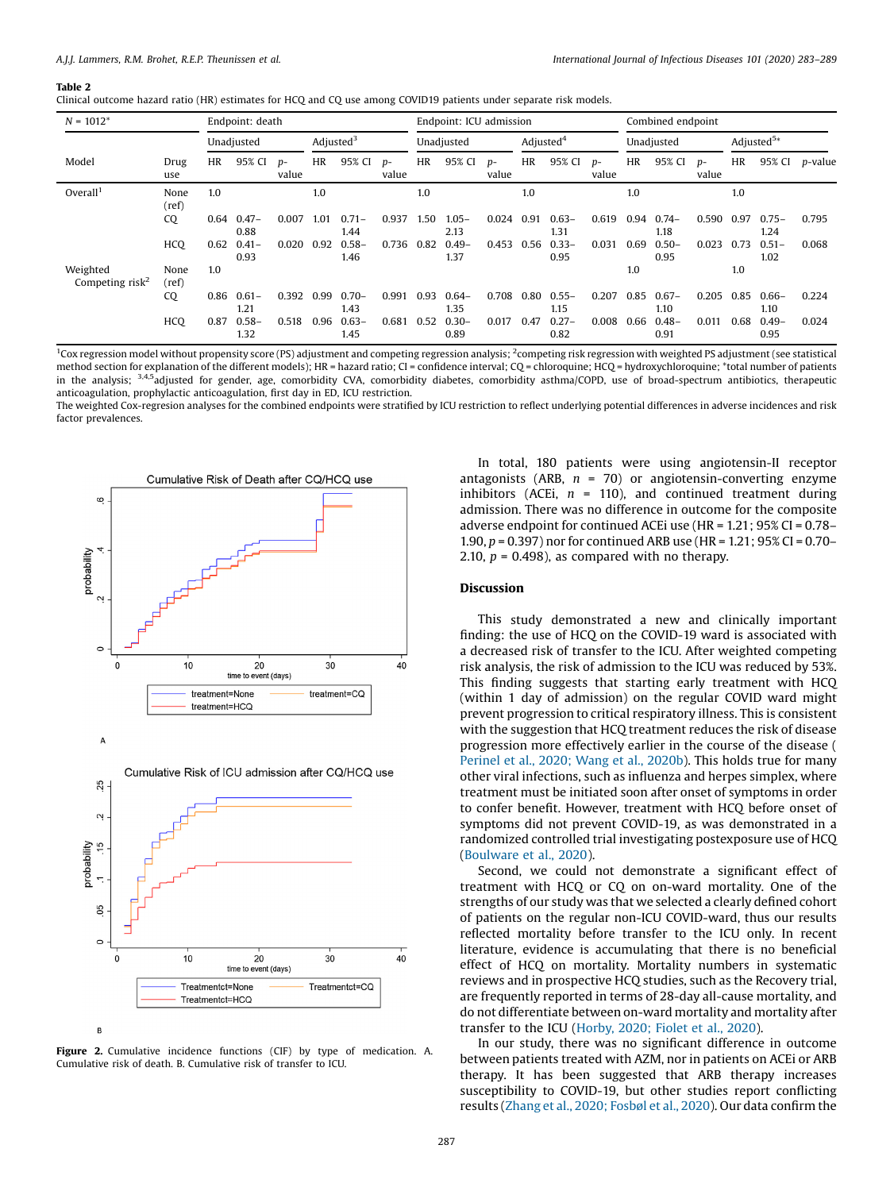#### <span id="page-4-0"></span>Table 2

|  |  |  |  |  | Clinical outcome hazard ratio (HR) estimates for HCQ and CQ use among COVID19 patients under separate risk models. |  |  |  |  |  |  |  |  |  |  |  |  |  |
|--|--|--|--|--|--------------------------------------------------------------------------------------------------------------------|--|--|--|--|--|--|--|--|--|--|--|--|--|
|--|--|--|--|--|--------------------------------------------------------------------------------------------------------------------|--|--|--|--|--|--|--|--|--|--|--|--|--|

| $N = 1012^*$                            |               |            | Endpoint: death  |                |              |                  |               |            | Endpoint: ICU admission |               |                       | Combined endpoint |               |            |                  |               |                        |                  |                 |  |
|-----------------------------------------|---------------|------------|------------------|----------------|--------------|------------------|---------------|------------|-------------------------|---------------|-----------------------|-------------------|---------------|------------|------------------|---------------|------------------------|------------------|-----------------|--|
|                                         |               | Unadjusted |                  |                | Adjusted $3$ |                  |               | Unadjusted |                         |               | Adjusted <sup>4</sup> |                   |               | Unadjusted |                  |               | Adjusted <sup>5*</sup> |                  |                 |  |
| Model                                   | Drug<br>use   | <b>HR</b>  | 95% CI           | $D -$<br>value | <b>HR</b>    | 95% CI           | $p-$<br>value | HR         | 95% CI                  | $p-$<br>value | HR                    | 95% CI            | $p-$<br>value | HR         | 95% CI           | $p-$<br>value | <b>HR</b>              | 95% CI           | <i>p</i> -value |  |
| Overall <sup>1</sup>                    | None<br>(ref) | 1.0        |                  |                | 1.0          |                  |               | 1.0        |                         |               | 1.0                   |                   |               | 1.0        |                  |               | 1.0                    |                  |                 |  |
|                                         | CQ            | 0.64       | $0.47 -$<br>0.88 | 0.007          | 1.01         | $0.71 -$<br>1.44 | 0.937         | 1.50       | $1.05 -$<br>2.13        | 0.024         | 0.91                  | $0.63 -$<br>1.31  | 0.619         | 0.94       | $0.74-$<br>1.18  | 0.590         | 0.97                   | $0.75 -$<br>1.24 | 0.795           |  |
|                                         | HCO           | 0.62       | $0.41 -$<br>0.93 | 0.020          | 0.92         | $0.58 -$<br>1.46 | 0.736         | 0.82       | $0.49 -$<br>1.37        | 0.453         | 0.56                  | $0.33 -$<br>0.95  | 0.031         | 0.69       | $0.50 -$<br>0.95 | 0.023         | 0.73                   | $0.51 -$<br>1.02 | 0.068           |  |
| Weighted<br>Competing risk <sup>2</sup> | None<br>(ref) | 1.0        |                  |                |              |                  |               |            |                         |               |                       |                   |               | 1.0        |                  |               | 1.0                    |                  |                 |  |
|                                         | CQ            | 0.86       | $0.61 -$<br>1.21 | 0.392          | 0.99         | $0.70 -$<br>1.43 | 0.991         | 0.93       | $0.64 -$<br>1.35        | 0.708         | 0.80                  | $0.55 -$<br>1.15  | 0.207         | 0.85       | $0.67 -$<br>1.10 | 0.205         | 0.85                   | $0.66 -$<br>1.10 | 0.224           |  |
|                                         | <b>HCQ</b>    | 0.87       | $0.58 -$<br>1.32 | 0.518          | 0.96         | $0.63 -$<br>1.45 | 0.681         | 0.52       | $0.30 -$<br>0.89        | 0.017         | 0.47                  | $0.27 -$<br>0.82  | 0.008         | 0.66       | $0.48 -$<br>0.91 | 0.011         | 0.68                   | $0.49 -$<br>0.95 | 0.024           |  |

<sup>1</sup>Cox regression model without propensity score (PS) adjustment and competing regression analysis; <sup>2</sup>competing risk regression with weighted PS adjustment (see statistical method section for explanation of the different models); HR = hazard ratio; CI = confidence interval; CQ = chloroquine; HCQ = hydroxychloroquine; \*total number of patients in the analysis; <sup>3,4,5</sup>adjusted for gender, age, comorbidity CVA, comorbidity diabetes, comorbidity asthma/COPD, use of broad-spectrum antibiotics, therapeutic anticoagulation, prophylactic anticoagulation, first day in ED, ICU restriction.

The weighted Cox-regresion analyses for the combined endpoints were stratified by ICU restriction to reflect underlying potential differences in adverse incidences and risk factor prevalences.





Figure 2. Cumulative incidence functions (CIF) by type of medication. A. Cumulative risk of death. B. Cumulative risk of transfer to ICU.

In total, 180 patients were using angiotensin-II receptor antagonists (ARB,  $n = 70$ ) or angiotensin-converting enzyme inhibitors (ACEi,  $n = 110$ ), and continued treatment during admission. There was no difference in outcome for the composite adverse endpoint for continued ACEi use (HR = 1.21; 95% CI = 0.78– 1.90, p = 0.397) nor for continued ARB use (HR = 1.21; 95% CI = 0.70– 2.10,  $p = 0.498$ ), as compared with no therapy.

## Discussion

This study demonstrated a new and clinically important finding: the use of HCQ on the COVID-19 ward is associated with a decreased risk of transfer to the ICU. After weighted competing risk analysis, the risk of admission to the ICU was reduced by 53%. This finding suggests that starting early treatment with HCQ (within 1 day of admission) on the regular COVID ward might prevent progression to critical respiratory illness. This is consistent with the suggestion that HCQ treatment reduces the risk of disease progression more effectively earlier in the course of the disease ( [Perinel](#page-6-0) et al., 2020; Wang et al., 2020b). This holds true for many other viral infections, such as influenza and herpes simplex, where treatment must be initiated soon after onset of symptoms in order to confer benefit. However, treatment with HCQ before onset of symptoms did not prevent COVID-19, as was demonstrated in a randomized controlled trial investigating postexposure use of HCQ ([Boulware](#page-5-0) et al., 2020).

Second, we could not demonstrate a significant effect of treatment with HCQ or CQ on on-ward mortality. One of the strengths of our study was that we selected a clearly defined cohort of patients on the regular non-ICU COVID-ward, thus our results reflected mortality before transfer to the ICU only. In recent literature, evidence is accumulating that there is no beneficial effect of HCQ on mortality. Mortality numbers in systematic reviews and in prospective HCQ studies, such as the Recovery trial, are frequently reported in terms of 28-day all-cause mortality, and do not differentiate between on-ward mortality and mortality after transfer to the ICU [\(Horby,](#page-6-0) 2020; Fiolet et al., 2020).

In our study, there was no significant difference in outcome between patients treated with AZM, nor in patients on ACEi or ARB therapy. It has been suggested that ARB therapy increases susceptibility to COVID-19, but other studies report conflicting results (Zhang et al., 2020; [Fosbøl](#page-6-0) et al., 2020). Our data confirm the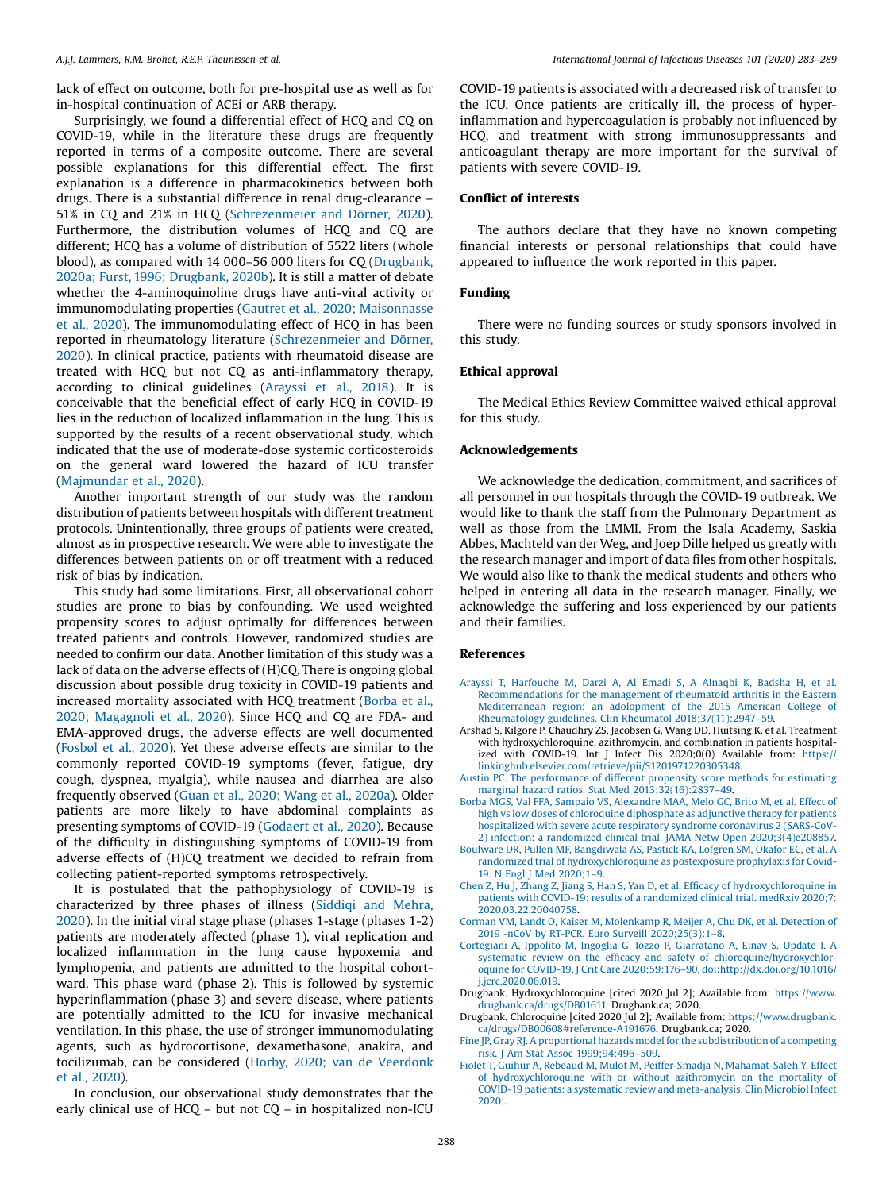<span id="page-5-0"></span>lack of effect on outcome, both for pre-hospital use as well as for in-hospital continuation of ACEi or ARB therapy.

Surprisingly, we found a differential effect of HCQ and CQ on COVID-19, while in the literature these drugs are frequently reported in terms of a composite outcome. There are several possible explanations for this differential effect. The first explanation is a difference in pharmacokinetics between both drugs. There is a substantial difference in renal drug-clearance – 51% in CQ and 21% in HCQ [\(Schrezenmeier](#page-6-0) and Dörner, 2020). Furthermore, the distribution volumes of HCQ and CQ are different; HCQ has a volume of distribution of 5522 liters (whole blood), as compared with 14 000–56 000 liters for CQ (Drugbank, 2020a; Furst, 1996; Drugbank, 2020b). It is still a matter of debate whether the 4-aminoquinoline drugs have anti-viral activity or immunomodulating properties (Gautret et al., 2020; [Maisonnasse](#page-6-0) et al., [2020\)](#page-6-0). The immunomodulating effect of HCQ in has been reported in rheumatology literature [\(Schrezenmeier](#page-6-0) and Dörner, [2020](#page-6-0)). In clinical practice, patients with rheumatoid disease are treated with HCQ but not CQ as anti-inflammatory therapy, according to clinical guidelines (Arayssi et al., 2018). It is conceivable that the beneficial effect of early HCQ in COVID-19 lies in the reduction of localized inflammation in the lung. This is supported by the results of a recent observational study, which indicated that the use of moderate-dose systemic corticosteroids on the general ward lowered the hazard of ICU transfer ([Majmundar](#page-6-0) et al., 2020).

Another important strength of our study was the random distribution of patients between hospitals with different treatment protocols. Unintentionally, three groups of patients were created, almost as in prospective research. We were able to investigate the differences between patients on or off treatment with a reduced risk of bias by indication.

This study had some limitations. First, all observational cohort studies are prone to bias by confounding. We used weighted propensity scores to adjust optimally for differences between treated patients and controls. However, randomized studies are needed to confirm our data. Another limitation of this study was a lack of data on the adverse effects of (H)CQ. There is ongoing global discussion about possible drug toxicity in COVID-19 patients and increased mortality associated with HCQ treatment (Borba et al., 2020; Magagnoli et al., 2020). Since HCQ and CQ are FDA- and EMA-approved drugs, the adverse effects are well documented ([Fosbøl](#page-6-0) et al., 2020). Yet these adverse effects are similar to the commonly reported COVID-19 symptoms (fever, fatigue, dry cough, dyspnea, myalgia), while nausea and diarrhea are also frequently observed (Guan et al., 2020; Wang et al., [2020a](#page-6-0)). Older patients are more likely to have abdominal complaints as presenting symptoms of COVID-19 [\(Godaert](#page-6-0) et al., 2020). Because of the difficulty in distinguishing symptoms of COVID-19 from adverse effects of (H)CQ treatment we decided to refrain from collecting patient-reported symptoms retrospectively.

It is postulated that the pathophysiology of COVID-19 is characterized by three phases of illness (Siddiqi and [Mehra,](#page-6-0) [2020](#page-6-0)). In the initial viral stage phase (phases 1-stage (phases 1-2) patients are moderately affected (phase 1), viral replication and localized inflammation in the lung cause hypoxemia and lymphopenia, and patients are admitted to the hospital cohortward. This phase ward (phase 2). This is followed by systemic hyperinflammation (phase 3) and severe disease, where patients are potentially admitted to the ICU for invasive mechanical ventilation. In this phase, the use of stronger immunomodulating agents, such as hydrocortisone, dexamethasone, anakira, and tocilizumab, can be considered (Horby, 2020; van de [Veerdonk](#page-6-0) et al., [2020](#page-6-0)).

In conclusion, our observational study demonstrates that the early clinical use of HCQ – but not CQ – in hospitalized non-ICU COVID-19 patients is associated with a decreased risk of transfer to the ICU. Once patients are critically ill, the process of hyperinflammation and hypercoagulation is probably not influenced by HCQ, and treatment with strong immunosuppressants and anticoagulant therapy are more important for the survival of patients with severe COVID-19.

# Conflict of interests

The authors declare that they have no known competing financial interests or personal relationships that could have appeared to influence the work reported in this paper.

# Funding

There were no funding sources or study sponsors involved in this study.

## Ethical approval

The Medical Ethics Review Committee waived ethical approval for this study.

## Acknowledgements

We acknowledge the dedication, commitment, and sacrifices of all personnel in our hospitals through the COVID-19 outbreak. We would like to thank the staff from the Pulmonary Department as well as those from the LMMI. From the Isala Academy, Saskia Abbes, Machteld van der Weg, and Joep Dille helped us greatly with the research manager and import of data files from other hospitals. We would also like to thank the medical students and others who helped in entering all data in the research manager. Finally, we acknowledge the suffering and loss experienced by our patients and their families.

#### References

- Arayssi T, [Harfouche](http://refhub.elsevier.com/S1201-9712(20)32175-5/sbref0005) M, Darzi A, Al Emadi S, A Alnaqbi K, Badsha H, et al. [Recommendations](http://refhub.elsevier.com/S1201-9712(20)32175-5/sbref0005) for the management of rheumatoid arthritis in the Eastern [Mediterranean](http://refhub.elsevier.com/S1201-9712(20)32175-5/sbref0005) region: an adolopment of the 2015 American College of Rheumatology guidelines. Clin Rheumatol [2018;37\(11\):2947](http://refhub.elsevier.com/S1201-9712(20)32175-5/sbref0005)–59.
- Arshad S, Kilgore P, Chaudhry ZS, Jacobsen G, Wang DD, Huitsing K, et al. Treatment with hydroxychloroquine, azithromycin, and combination in patients hospitalized with COVID-19. Int J Infect Dis 2020;0(0) Available from: [https://](https://linkinghub.elsevier.com/retrieve/pii/S1201971220305348) [linkinghub.elsevier.com/retrieve/pii/S1201971220305348](https://linkinghub.elsevier.com/retrieve/pii/S1201971220305348).
- Austin PC. The [performance](http://refhub.elsevier.com/S1201-9712(20)32175-5/sbref0015) of different propensity score methods for estimating marginal hazard ratios. Stat Med [2013;32\(16\):2837](http://refhub.elsevier.com/S1201-9712(20)32175-5/sbref0015)–49.
- Borba MGS, Val FFA, Sampaio VS, [Alexandre](http://refhub.elsevier.com/S1201-9712(20)32175-5/sbref0020) MAA, Melo GC, Brito M, et al. Effect of high vs low doses of chloroquine [diphosphate](http://refhub.elsevier.com/S1201-9712(20)32175-5/sbref0020) as adjunctive therapy for patients [hospitalized](http://refhub.elsevier.com/S1201-9712(20)32175-5/sbref0020) with severe acute respiratory syndrome coronavirus 2 (SARS-CoV-2) infection: a randomized clinical trial. JAMA Netw Open [2020;3\(4\)e208857.](http://refhub.elsevier.com/S1201-9712(20)32175-5/sbref0020)
- Boulware DR, Pullen MF, [Bangdiwala](http://refhub.elsevier.com/S1201-9712(20)32175-5/sbref0025) AS, Pastick KA, Lofgren SM, Okafor EC, et al. A randomized trial of [hydroxychloroquine](http://refhub.elsevier.com/S1201-9712(20)32175-5/sbref0025) as postexposure prophylaxis for Covid-19. N Engl J Med [2020;1](http://refhub.elsevier.com/S1201-9712(20)32175-5/sbref0025)–9.
- Chen Z, Hu J, Zhang Z, Jiang S, Han S, Yan D, et al. Efficacy of [hydroxychloroquine](http://refhub.elsevier.com/S1201-9712(20)32175-5/sbref0030) in patients with COVID-19: results of a [randomized](http://refhub.elsevier.com/S1201-9712(20)32175-5/sbref0030) clinical trial. medRxiv 2020;7: [2020.03.22.20040758.](http://refhub.elsevier.com/S1201-9712(20)32175-5/sbref0030)
- Corman VM, Landt O, Kaiser M, [Molenkamp](http://refhub.elsevier.com/S1201-9712(20)32175-5/sbref0035) R, Meijer A, Chu DK, et al. Detection of 2019 -nCoV by RT-PCR. Euro Surveill [2020;25\(3\):1](http://refhub.elsevier.com/S1201-9712(20)32175-5/sbref0035)–8.
- Cortegiani A, Ippolito M, Ingoglia G, Iozzo P, [Giarratano](http://refhub.elsevier.com/S1201-9712(20)32175-5/sbref0040) A, Einav S. Update I. A systematic review on the efficacy and safety of [chloroquine/hydroxychlor](http://refhub.elsevier.com/S1201-9712(20)32175-5/sbref0040)oquine for COVID-19. J Crit Care 2020;59:176–90, [doi:http://dx.doi.org/10.1016/](http://refhub.elsevier.com/S1201-9712(20)32175-5/sbref0040) [j.jcrc.2020.06.019.](http://dx.doi.org/10.1016/j.jcrc.2020.06.019)
- Drugbank. Hydroxychloroquine [cited 2020 Jul 2]; Available from: [https://www.](https://www.drugbank.ca/drugs/DB01611) [drugbank.ca/drugs/DB01611.](https://www.drugbank.ca/drugs/DB01611) Drugbank.ca; 2020.
- Drugbank. Chloroquine [cited 2020 Jul 2]; Available from: [https://www.drugbank.](https://www.drugbank.ca/drugs/DB00608#reference-A191676) [ca/drugs/DB00608#reference-A191676](https://www.drugbank.ca/drugs/DB00608#reference-A191676). Drugbank.ca; 2020.
- Fine JP, Gray RJ. A proportional hazards model for the [subdistribution](http://refhub.elsevier.com/S1201-9712(20)32175-5/sbref0055) of a competing risk. J Am Stat Assoc [1999;94:496](http://refhub.elsevier.com/S1201-9712(20)32175-5/sbref0055)–509.
- Fiolet T, Guihur A, Rebeaud M, Mulot M, Peiffer-Smadja N, [Mahamat-Saleh](http://refhub.elsevier.com/S1201-9712(20)32175-5/sbref0060) Y. Effect of [hydroxychloroquine](http://refhub.elsevier.com/S1201-9712(20)32175-5/sbref0060) with or without azithromycin on the mortality of COVID-19 patients: a systematic review and [meta-analysis.](http://refhub.elsevier.com/S1201-9712(20)32175-5/sbref0060) Clin Microbiol Infect [2020;](http://refhub.elsevier.com/S1201-9712(20)32175-5/sbref0060).